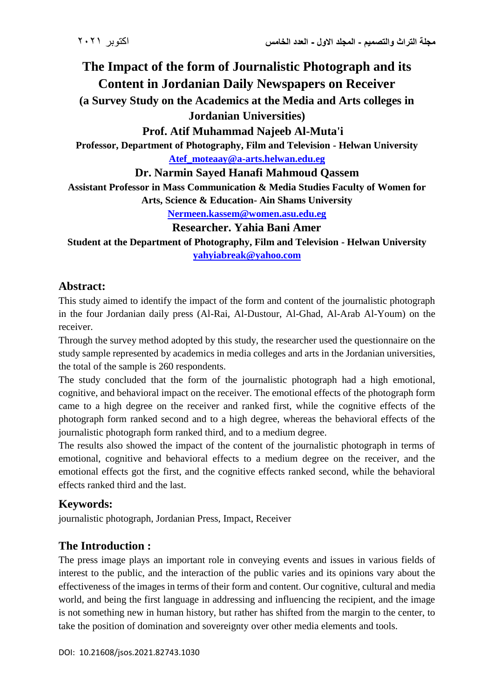# **The Impact of the form of Journalistic Photograph and its Content in Jordanian Daily Newspapers on Receiver (a Survey Study on the Academics at the Media and Arts colleges in**

**Jordanian Universities)**

**Prof. Atif Muhammad Najeeb Al-Muta'i**

**Professor, Department of Photography, Film and Television - Helwan University**

**[Atef\\_moteaay@a-arts.helwan.edu.eg](mailto:Atef_moteaay@a-arts.helwan.edu.eg)**

**Dr. Narmin Sayed Hanafi Mahmoud Qassem**

**Assistant Professor in Mass Communication & Media Studies Faculty of Women for Arts, Science & Education- Ain Shams University**

**[Nermeen.kassem@women.asu.edu.eg](mailto:Nermeen.kassem@women.asu.edu.eg)**

#### **Researcher. Yahia Bani Amer**

**Student at the Department of Photography, Film and Television - Helwan University [yahyiabreak@yahoo.com](mailto:yahyiabreak@yahoo.com)**

## **Abstract:**

This study aimed to identify the impact of the form and content of the journalistic photograph in the four Jordanian daily press (Al-Rai, Al-Dustour, Al-Ghad, Al-Arab Al-Youm) on the receiver.

Through the survey method adopted by this study, the researcher used the questionnaire on the study sample represented by academics in media colleges and arts in the Jordanian universities, the total of the sample is 260 respondents.

The study concluded that the form of the journalistic photograph had a high emotional, cognitive, and behavioral impact on the receiver. The emotional effects of the photograph form came to a high degree on the receiver and ranked first, while the cognitive effects of the photograph form ranked second and to a high degree, whereas the behavioral effects of the journalistic photograph form ranked third, and to a medium degree.

The results also showed the impact of the content of the journalistic photograph in terms of emotional, cognitive and behavioral effects to a medium degree on the receiver, and the emotional effects got the first, and the cognitive effects ranked second, while the behavioral effects ranked third and the last.

# **Keywords:**

journalistic photograph, Jordanian Press, Impact, Receiver

# **The Introduction :**

The press image plays an important role in conveying events and issues in various fields of interest to the public, and the interaction of the public varies and its opinions vary about the effectiveness of the images in terms of their form and content. Our cognitive, cultural and media world, and being the first language in addressing and influencing the recipient, and the image is not something new in human history, but rather has shifted from the margin to the center, to take the position of domination and sovereignty over other media elements and tools.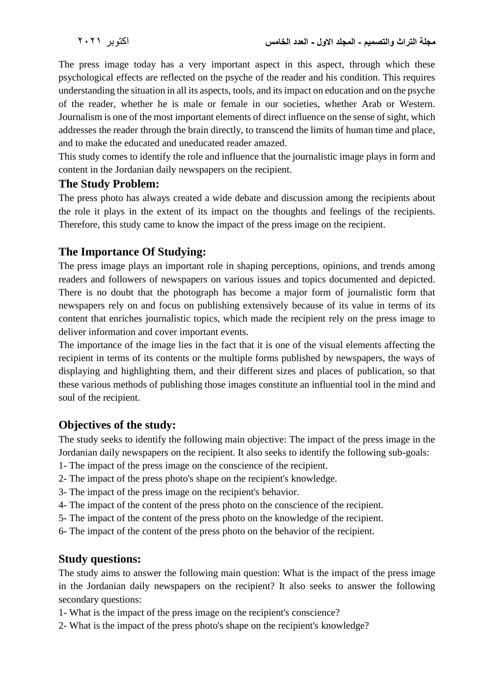The press image today has a very important aspect in this aspect, through which these psychological effects are reflected on the psyche of the reader and his condition. This requires understanding the situation in all its aspects, tools, and its impact on education and on the psyche of the reader, whether he is male or female in our societies, whether Arab or Western. Journalism is one of the most important elements of direct influence on the sense of sight, which addresses the reader through the brain directly, to transcend the limits of human time and place, and to make the educated and uneducated reader amazed.

This study comes to identify the role and influence that the journalistic image plays in form and content in the Jordanian daily newspapers on the recipient.

#### **The Study Problem:**

The press photo has always created a wide debate and discussion among the recipients about the role it plays in the extent of its impact on the thoughts and feelings of the recipients. Therefore, this study came to know the impact of the press image on the recipient.

#### **The Importance Of Studying:**

The press image plays an important role in shaping perceptions, opinions, and trends among readers and followers of newspapers on various issues and topics documented and depicted. There is no doubt that the photograph has become a major form of journalistic form that newspapers rely on and focus on publishing extensively because of its value in terms of its content that enriches journalistic topics, which made the recipient rely on the press image to deliver information and cover important events.

The importance of the image lies in the fact that it is one of the visual elements affecting the recipient in terms of its contents or the multiple forms published by newspapers, the ways of displaying and highlighting them, and their different sizes and places of publication, so that these various methods of publishing those images constitute an influential tool in the mind and soul of the recipient.

#### **Objectives of the study:**

The study seeks to identify the following main objective: The impact of the press image in the Jordanian daily newspapers on the recipient. It also seeks to identify the following sub-goals:

- 1- The impact of the press image on the conscience of the recipient.
- 2- The impact of the press photo's shape on the recipient's knowledge.
- 3- The impact of the press image on the recipient's behavior.
- 4- The impact of the content of the press photo on the conscience of the recipient.
- 5- The impact of the content of the press photo on the knowledge of the recipient.
- 6- The impact of the content of the press photo on the behavior of the recipient.

#### **Study questions:**

The study aims to answer the following main question: What is the impact of the press image in the Jordanian daily newspapers on the recipient? It also seeks to answer the following secondary questions:

- 1- What is the impact of the press image on the recipient's conscience?
- 2- What is the impact of the press photo's shape on the recipient's knowledge?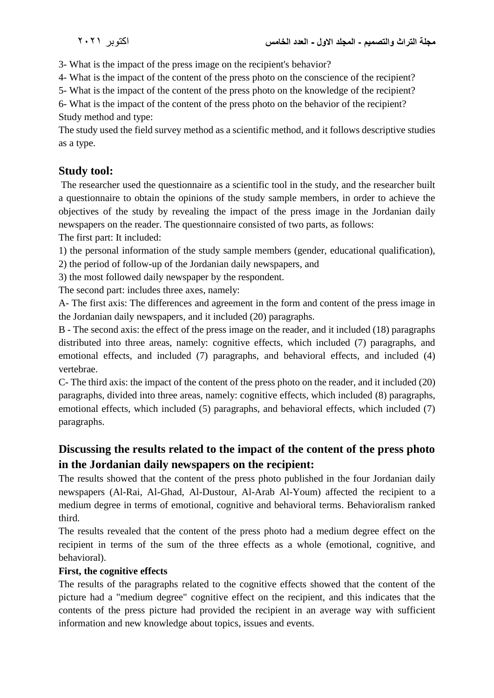3- What is the impact of the press image on the recipient's behavior?

4- What is the impact of the content of the press photo on the conscience of the recipient?

5- What is the impact of the content of the press photo on the knowledge of the recipient?

6- What is the impact of the content of the press photo on the behavior of the recipient? Study method and type:

The study used the field survey method as a scientific method, and it follows descriptive studies as a type.

# **Study tool:**

The researcher used the questionnaire as a scientific tool in the study, and the researcher built a questionnaire to obtain the opinions of the study sample members, in order to achieve the objectives of the study by revealing the impact of the press image in the Jordanian daily newspapers on the reader. The questionnaire consisted of two parts, as follows:

The first part: It included:

1) the personal information of the study sample members (gender, educational qualification),

2) the period of follow-up of the Jordanian daily newspapers, and

3) the most followed daily newspaper by the respondent.

The second part: includes three axes, namely:

A- The first axis: The differences and agreement in the form and content of the press image in the Jordanian daily newspapers, and it included (20) paragraphs.

B - The second axis: the effect of the press image on the reader, and it included (18) paragraphs distributed into three areas, namely: cognitive effects, which included (7) paragraphs, and emotional effects, and included (7) paragraphs, and behavioral effects, and included (4) vertebrae.

C- The third axis: the impact of the content of the press photo on the reader, and it included (20) paragraphs, divided into three areas, namely: cognitive effects, which included (8) paragraphs, emotional effects, which included (5) paragraphs, and behavioral effects, which included (7) paragraphs.

# **Discussing the results related to the impact of the content of the press photo in the Jordanian daily newspapers on the recipient:**

The results showed that the content of the press photo published in the four Jordanian daily newspapers (Al-Rai, Al-Ghad, Al-Dustour, Al-Arab Al-Youm) affected the recipient to a medium degree in terms of emotional, cognitive and behavioral terms. Behavioralism ranked third.

The results revealed that the content of the press photo had a medium degree effect on the recipient in terms of the sum of the three effects as a whole (emotional, cognitive, and behavioral).

#### **First, the cognitive effects**

The results of the paragraphs related to the cognitive effects showed that the content of the picture had a "medium degree" cognitive effect on the recipient, and this indicates that the contents of the press picture had provided the recipient in an average way with sufficient information and new knowledge about topics, issues and events.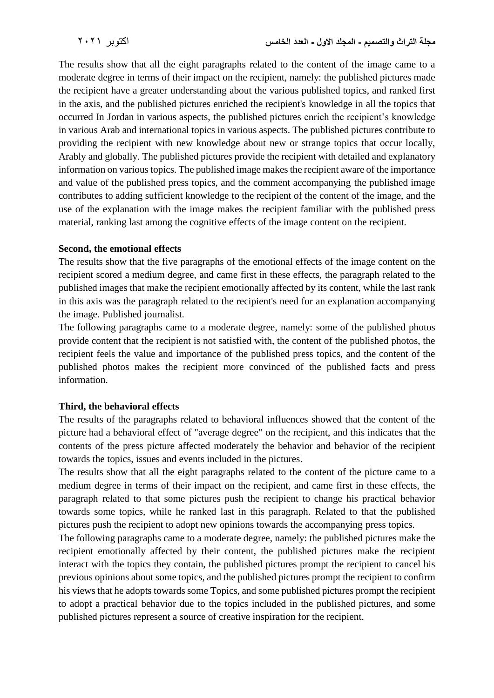The results show that all the eight paragraphs related to the content of the image came to a moderate degree in terms of their impact on the recipient, namely: the published pictures made the recipient have a greater understanding about the various published topics, and ranked first in the axis, and the published pictures enriched the recipient's knowledge in all the topics that occurred In Jordan in various aspects, the published pictures enrich the recipient's knowledge in various Arab and international topics in various aspects. The published pictures contribute to providing the recipient with new knowledge about new or strange topics that occur locally, Arably and globally. The published pictures provide the recipient with detailed and explanatory information on various topics. The published image makes the recipient aware of the importance and value of the published press topics, and the comment accompanying the published image contributes to adding sufficient knowledge to the recipient of the content of the image, and the use of the explanation with the image makes the recipient familiar with the published press material, ranking last among the cognitive effects of the image content on the recipient.

#### **Second, the emotional effects**

The results show that the five paragraphs of the emotional effects of the image content on the recipient scored a medium degree, and came first in these effects, the paragraph related to the published images that make the recipient emotionally affected by its content, while the last rank in this axis was the paragraph related to the recipient's need for an explanation accompanying the image. Published journalist.

The following paragraphs came to a moderate degree, namely: some of the published photos provide content that the recipient is not satisfied with, the content of the published photos, the recipient feels the value and importance of the published press topics, and the content of the published photos makes the recipient more convinced of the published facts and press information.

#### **Third, the behavioral effects**

The results of the paragraphs related to behavioral influences showed that the content of the picture had a behavioral effect of "average degree" on the recipient, and this indicates that the contents of the press picture affected moderately the behavior and behavior of the recipient towards the topics, issues and events included in the pictures.

The results show that all the eight paragraphs related to the content of the picture came to a medium degree in terms of their impact on the recipient, and came first in these effects, the paragraph related to that some pictures push the recipient to change his practical behavior towards some topics, while he ranked last in this paragraph. Related to that the published pictures push the recipient to adopt new opinions towards the accompanying press topics.

The following paragraphs came to a moderate degree, namely: the published pictures make the recipient emotionally affected by their content, the published pictures make the recipient interact with the topics they contain, the published pictures prompt the recipient to cancel his previous opinions about some topics, and the published pictures prompt the recipient to confirm his views that he adopts towards some Topics, and some published pictures prompt the recipient to adopt a practical behavior due to the topics included in the published pictures, and some published pictures represent a source of creative inspiration for the recipient.